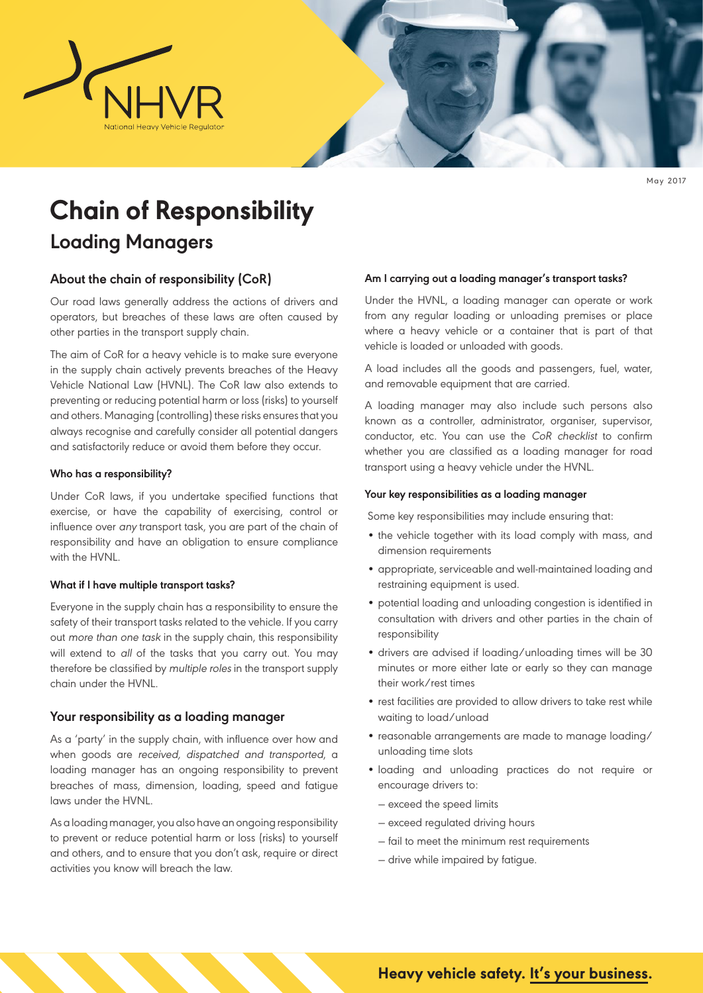

May 2017

# **Chain of Responsibility**

# **Loading Managers**

# **About the chain of responsibility (CoR)**

Our road laws generally address the actions of drivers and operators, but breaches of these laws are often caused by other parties in the transport supply chain.

The aim of CoR for a heavy vehicle is to make sure everyone in the supply chain actively prevents breaches of the Heavy Vehicle National Law (HVNL). The CoR law also extends to preventing or reducing potential harm or loss (risks) to yourself and others. Managing (controlling) these risks ensures that you always recognise and carefully consider all potential dangers and satisfactorily reduce or avoid them before they occur.

# **Who has a responsibility?**

Under CoR laws, if you undertake specified functions that exercise, or have the capability of exercising, control or influence over any transport task, you are part of the chain of responsibility and have an obligation to ensure compliance with the HVNL.

#### **What if I have multiple transport tasks?**

Everyone in the supply chain has a responsibility to ensure the safety of their transport tasks related to the vehicle. If you carry out more than one task in the supply chain, this responsibility will extend to all of the tasks that you carry out. You may therefore be classified by multiple roles in the transport supply chain under the HVNL.

# **Your responsibility as a loading manager**

As a 'party' in the supply chain, with influence over how and when goods are received, dispatched and transported, a loading manager has an ongoing responsibility to prevent breaches of mass, dimension, loading, speed and fatigue laws under the HVNL.

As a loading manager, you also have an ongoing responsibility to prevent or reduce potential harm or loss (risks) to yourself and others, and to ensure that you don't ask, require or direct activities you know will breach the law.

#### **Am I carrying out a loading manager's transport tasks?**

Under the HVNL, a loading manager can operate or work from any regular loading or unloading premises or place where a heavy vehicle or a container that is part of that vehicle is loaded or unloaded with goods.

A load includes all the goods and passengers, fuel, water, and removable equipment that are carried.

A loading manager may also include such persons also known as a controller, administrator, organiser, supervisor, conductor, etc. You can use the CoR checklist to confirm whether you are classified as a loading manager for road transport using a heavy vehicle under the HVNL.

#### **Your key responsibilities as a loading manager**

Some key responsibilities may include ensuring that:

- the vehicle together with its load comply with mass, and dimension requirements
- appropriate, serviceable and well-maintained loading and restraining equipment is used.
- potential loading and unloading congestion is identified in consultation with drivers and other parties in the chain of responsibility
- drivers are advised if loading/unloading times will be 30 minutes or more either late or early so they can manage their work/rest times
- rest facilities are provided to allow drivers to take rest while waiting to load/unload
- reasonable arrangements are made to manage loading/ unloading time slots
- loading and unloading practices do not require or encourage drivers to:
	- ― exceed the speed limits
	- ― exceed regulated driving hours
	- ― fail to meet the minimum rest requirements
	- ― drive while impaired by fatigue.

# **Heavy vehicle safety. It's your business.**